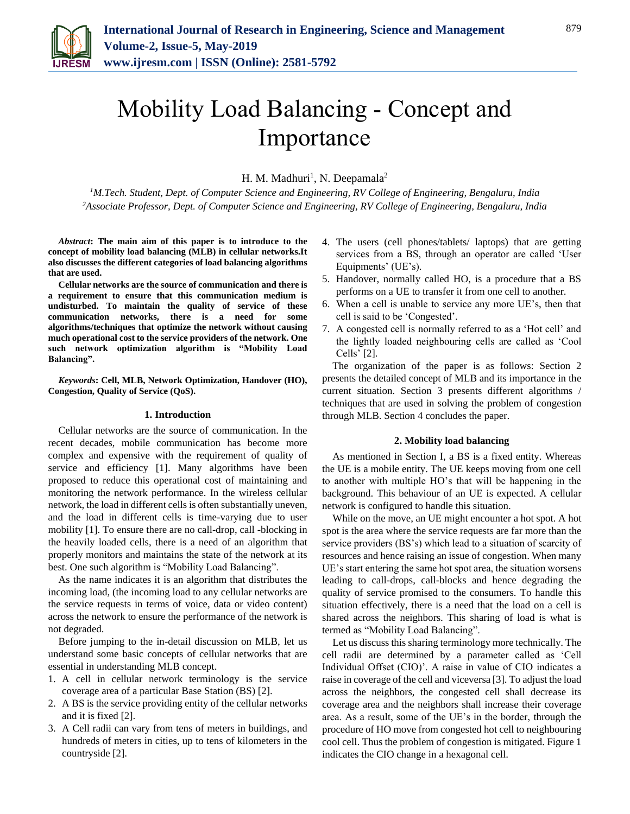

# Mobility Load Balancing - Concept and Importance

H. M. Madhuri<sup>1</sup>, N. Deepamala<sup>2</sup>

*<sup>1</sup>M.Tech. Student, Dept. of Computer Science and Engineering, RV College of Engineering, Bengaluru, India 2Associate Professor, Dept. of Computer Science and Engineering, RV College of Engineering, Bengaluru, India*

*Abstract***: The main aim of this paper is to introduce to the concept of mobility load balancing (MLB) in cellular networks.It also discusses the different categories of load balancing algorithms that are used.** 

**Cellular networks are the source of communication and there is a requirement to ensure that this communication medium is undisturbed. To maintain the quality of service of these communication networks, there is a need for some algorithms/techniques that optimize the network without causing much operational cost to the service providers of the network. One such network optimization algorithm is "Mobility Load Balancing".** 

*Keywords***: Cell, MLB, Network Optimization, Handover (HO), Congestion, Quality of Service (QoS).**

## **1. Introduction**

Cellular networks are the source of communication. In the recent decades, mobile communication has become more complex and expensive with the requirement of quality of service and efficiency [1]. Many algorithms have been proposed to reduce this operational cost of maintaining and monitoring the network performance. In the wireless cellular network, the load in different cells is often substantially uneven, and the load in different cells is time-varying due to user mobility [1]. To ensure there are no call-drop, call -blocking in the heavily loaded cells, there is a need of an algorithm that properly monitors and maintains the state of the network at its best. One such algorithm is "Mobility Load Balancing".

As the name indicates it is an algorithm that distributes the incoming load, (the incoming load to any cellular networks are the service requests in terms of voice, data or video content) across the network to ensure the performance of the network is not degraded.

Before jumping to the in-detail discussion on MLB, let us understand some basic concepts of cellular networks that are essential in understanding MLB concept.

- 1. A cell in cellular network terminology is the service coverage area of a particular Base Station (BS) [2].
- 2. A BS is the service providing entity of the cellular networks and it is fixed [2].
- 3. A Cell radii can vary from tens of meters in buildings, and hundreds of meters in cities, up to tens of kilometers in the countryside [2].
- 4. The users (cell phones/tablets/ laptops) that are getting services from a BS, through an operator are called 'User Equipments' (UE's).
- 5. Handover, normally called HO, is a procedure that a BS performs on a UE to transfer it from one cell to another.
- 6. When a cell is unable to service any more UE's, then that cell is said to be 'Congested'.
- 7. A congested cell is normally referred to as a 'Hot cell' and the lightly loaded neighbouring cells are called as 'Cool Cells' [2].

The organization of the paper is as follows: Section 2 presents the detailed concept of MLB and its importance in the current situation. Section 3 presents different algorithms / techniques that are used in solving the problem of congestion through MLB. Section 4 concludes the paper.

## **2. Mobility load balancing**

As mentioned in Section I, a BS is a fixed entity. Whereas the UE is a mobile entity. The UE keeps moving from one cell to another with multiple HO's that will be happening in the background. This behaviour of an UE is expected. A cellular network is configured to handle this situation.

While on the move, an UE might encounter a hot spot. A hot spot is the area where the service requests are far more than the service providers (BS's) which lead to a situation of scarcity of resources and hence raising an issue of congestion. When many UE's start entering the same hot spot area, the situation worsens leading to call-drops, call-blocks and hence degrading the quality of service promised to the consumers. To handle this situation effectively, there is a need that the load on a cell is shared across the neighbors. This sharing of load is what is termed as "Mobility Load Balancing".

Let us discuss this sharing terminology more technically. The cell radii are determined by a parameter called as 'Cell Individual Offset (CIO)'. A raise in value of CIO indicates a raise in coverage of the cell and viceversa [3]. To adjust the load across the neighbors, the congested cell shall decrease its coverage area and the neighbors shall increase their coverage area. As a result, some of the UE's in the border, through the procedure of HO move from congested hot cell to neighbouring cool cell. Thus the problem of congestion is mitigated. Figure 1 indicates the CIO change in a hexagonal cell.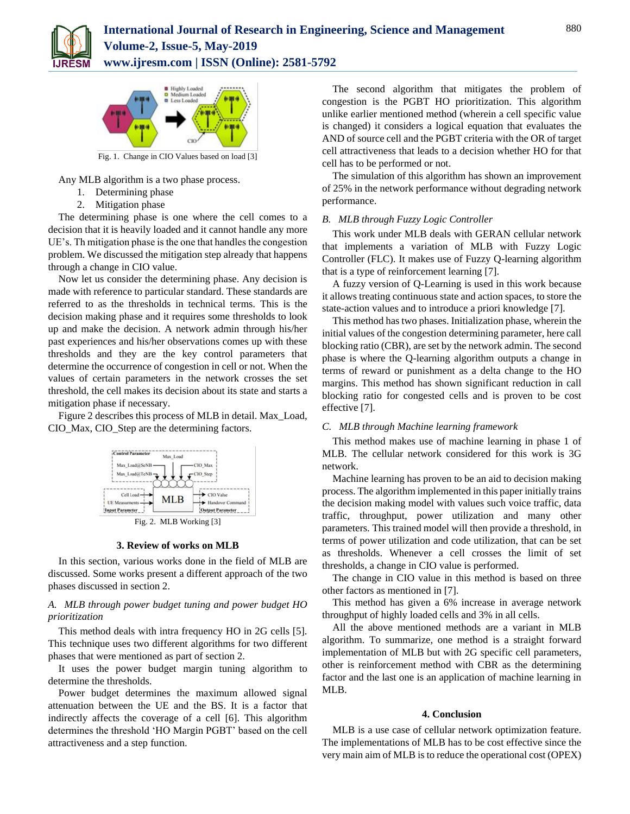



Fig. 1. Change in CIO Values based on load [3]

Any MLB algorithm is a two phase process.

- 1. Determining phase
- 2. Mitigation phase

The determining phase is one where the cell comes to a decision that it is heavily loaded and it cannot handle any more UE's. Th mitigation phase is the one that handles the congestion problem. We discussed the mitigation step already that happens through a change in CIO value.

Now let us consider the determining phase. Any decision is made with reference to particular standard. These standards are referred to as the thresholds in technical terms. This is the decision making phase and it requires some thresholds to look up and make the decision. A network admin through his/her past experiences and his/her observations comes up with these thresholds and they are the key control parameters that determine the occurrence of congestion in cell or not. When the values of certain parameters in the network crosses the set threshold, the cell makes its decision about its state and starts a mitigation phase if necessary.

Figure 2 describes this process of MLB in detail. Max\_Load, CIO\_Max, CIO\_Step are the determining factors.



## **3. Review of works on MLB**

In this section, various works done in the field of MLB are discussed. Some works present a different approach of the two phases discussed in section 2.

# *A. MLB through power budget tuning and power budget HO prioritization*

This method deals with intra frequency HO in 2G cells [5]. This technique uses two different algorithms for two different phases that were mentioned as part of section 2.

It uses the power budget margin tuning algorithm to determine the thresholds.

Power budget determines the maximum allowed signal attenuation between the UE and the BS. It is a factor that indirectly affects the coverage of a cell [6]. This algorithm determines the threshold 'HO Margin PGBT' based on the cell attractiveness and a step function.

The second algorithm that mitigates the problem of congestion is the PGBT HO prioritization. This algorithm unlike earlier mentioned method (wherein a cell specific value is changed) it considers a logical equation that evaluates the AND of source cell and the PGBT criteria with the OR of target cell attractiveness that leads to a decision whether HO for that cell has to be performed or not.

The simulation of this algorithm has shown an improvement of 25% in the network performance without degrading network performance.

## *B. MLB through Fuzzy Logic Controller*

This work under MLB deals with GERAN cellular network that implements a variation of MLB with Fuzzy Logic Controller (FLC). It makes use of Fuzzy Q-learning algorithm that is a type of reinforcement learning [7].

A fuzzy version of Q-Learning is used in this work because it allows treating continuous state and action spaces, to store the state-action values and to introduce a priori knowledge [7].

This method has two phases. Initialization phase, wherein the initial values of the congestion determining parameter, here call blocking ratio (CBR), are set by the network admin. The second phase is where the Q-learning algorithm outputs a change in terms of reward or punishment as a delta change to the HO margins. This method has shown significant reduction in call blocking ratio for congested cells and is proven to be cost effective [7].

## *C. MLB through Machine learning framework*

This method makes use of machine learning in phase 1 of MLB. The cellular network considered for this work is 3G network.

Machine learning has proven to be an aid to decision making process. The algorithm implemented in this paper initially trains the decision making model with values such voice traffic, data traffic, throughput, power utilization and many other parameters. This trained model will then provide a threshold, in terms of power utilization and code utilization, that can be set as thresholds. Whenever a cell crosses the limit of set thresholds, a change in CIO value is performed.

The change in CIO value in this method is based on three other factors as mentioned in [7].

This method has given a 6% increase in average network throughput of highly loaded cells and 3% in all cells.

All the above mentioned methods are a variant in MLB algorithm. To summarize, one method is a straight forward implementation of MLB but with 2G specific cell parameters, other is reinforcement method with CBR as the determining factor and the last one is an application of machine learning in MLB.

## **4. Conclusion**

MLB is a use case of cellular network optimization feature. The implementations of MLB has to be cost effective since the very main aim of MLB is to reduce the operational cost (OPEX)